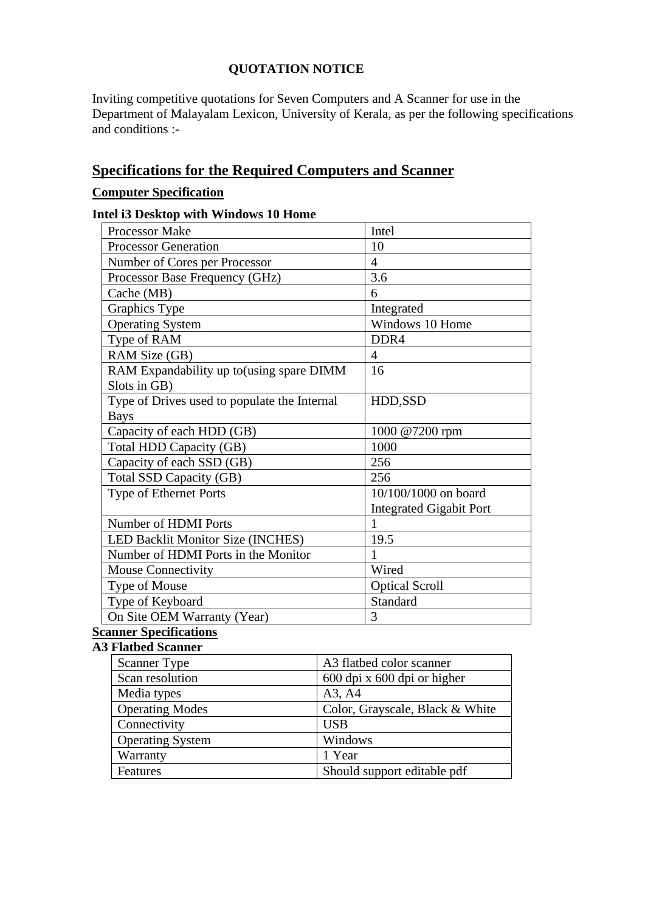## **QUOTATION NOTICE**

Inviting competitive quotations for Seven Computers and A Scanner for use in the Department of Malayalam Lexicon, University of Kerala, as per the following specifications and conditions :-

# **Specifications for the Required Computers and Scanner**

## **Computer Specification**

#### **Intel i3 Desktop with Windows 10 Home**

| <b>Processor Make</b>                        | Intel                          |
|----------------------------------------------|--------------------------------|
| <b>Processor Generation</b>                  | 10                             |
| Number of Cores per Processor                | $\overline{4}$                 |
| Processor Base Frequency (GHz)               | 3.6                            |
| Cache (MB)                                   | 6                              |
| Graphics Type                                | Integrated                     |
| <b>Operating System</b>                      | Windows 10 Home                |
| Type of RAM                                  | DDR <sub>4</sub>               |
| RAM Size (GB)                                | $\overline{4}$                 |
| RAM Expandability up to (using spare DIMM    | 16                             |
| Slots in GB)                                 |                                |
| Type of Drives used to populate the Internal | HDD,SSD                        |
| <b>Bays</b>                                  |                                |
| Capacity of each HDD (GB)                    | 1000 @7200 rpm                 |
| Total HDD Capacity (GB)                      | 1000                           |
| Capacity of each SSD (GB)                    | 256                            |
| Total SSD Capacity (GB)                      | 256                            |
| Type of Ethernet Ports                       | 10/100/1000 on board           |
|                                              | <b>Integrated Gigabit Port</b> |
| Number of HDMI Ports                         | 1                              |
| LED Backlit Monitor Size (INCHES)            | 19.5                           |
| Number of HDMI Ports in the Monitor          | 1                              |
| <b>Mouse Connectivity</b>                    | Wired                          |
| Type of Mouse                                | <b>Optical Scroll</b>          |
| Type of Keyboard                             | Standard                       |
| On Site OEM Warranty (Year)                  | 3                              |

# **Scanner Specifications**

#### **A3 Flatbed Scanner**

| <b>Scanner Type</b>     | A3 flatbed color scanner        |
|-------------------------|---------------------------------|
| Scan resolution         | 600 dpi x 600 dpi or higher     |
| Media types             | A3, A4                          |
| <b>Operating Modes</b>  | Color, Grayscale, Black & White |
| Connectivity            | <b>USB</b>                      |
| <b>Operating System</b> | Windows                         |
| Warranty                | 1 Year                          |
| Features                | Should support editable pdf     |